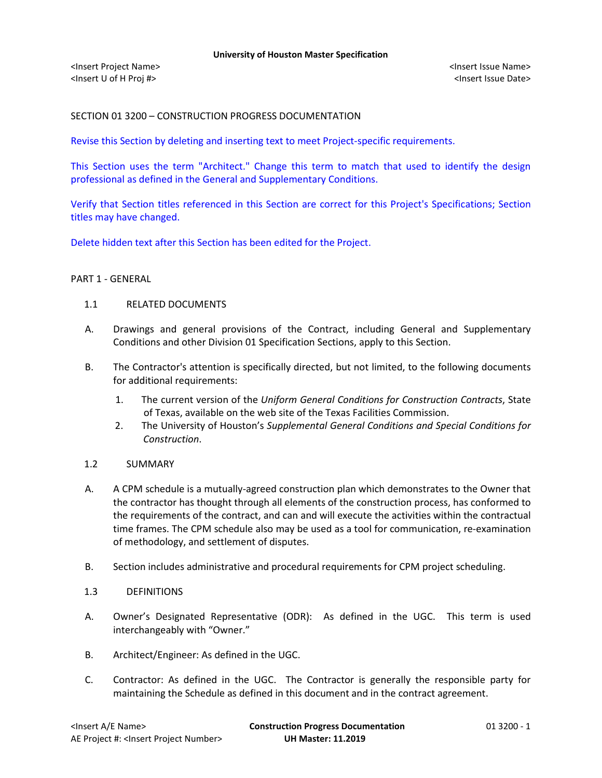# SECTION 01 3200 – CONSTRUCTION PROGRESS DOCUMENTATION

Revise this Section by deleting and inserting text to meet Project-specific requirements.

This Section uses the term "Architect." Change this term to match that used to identify the design professional as defined in the General and Supplementary Conditions.

Verify that Section titles referenced in this Section are correct for this Project's Specifications; Section titles may have changed.

Delete hidden text after this Section has been edited for the Project.

### PART 1 - GENERAL

### 1.1 RELATED DOCUMENTS

- A. Drawings and general provisions of the Contract, including General and Supplementary Conditions and other Division 01 Specification Sections, apply to this Section.
- B. The Contractor's attention is specifically directed, but not limited, to the following documents for additional requirements:
	- 1. The current version of the *Uniform General Conditions for Construction Contracts*, State of Texas, available on the web site of the Texas Facilities Commission.
	- 2. The University of Houston's *Supplemental General Conditions and Special Conditions for Construction*.

### 1.2 SUMMARY

- A. A CPM schedule is a mutually-agreed construction plan which demonstrates to the Owner that the contractor has thought through all elements of the construction process, has conformed to the requirements of the contract, and can and will execute the activities within the contractual time frames. The CPM schedule also may be used as a tool for communication, re-examination of methodology, and settlement of disputes.
- B. Section includes administrative and procedural requirements for CPM project scheduling.

### 1.3 DEFINITIONS

- A. Owner's Designated Representative (ODR): As defined in the UGC. This term is used interchangeably with "Owner."
- B. Architect/Engineer: As defined in the UGC.
- C. Contractor: As defined in the UGC. The Contractor is generally the responsible party for maintaining the Schedule as defined in this document and in the contract agreement.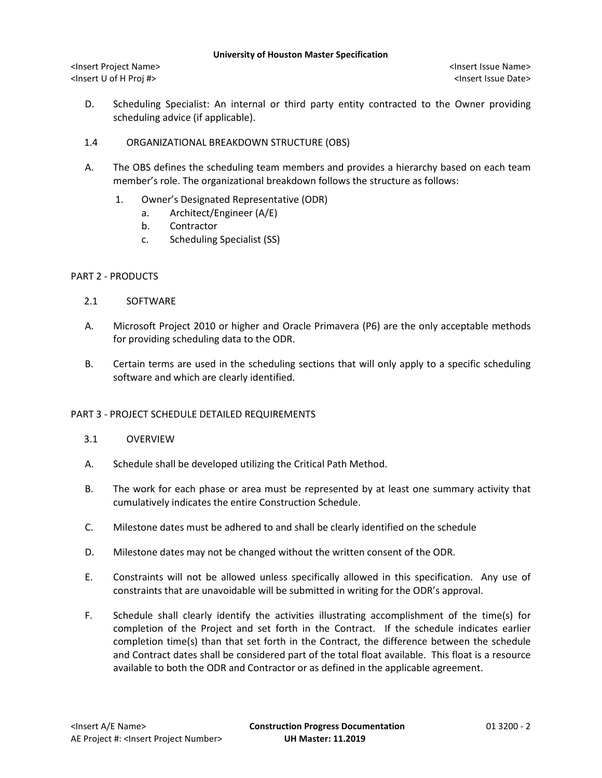<Insert Project Name> <Insert Issue Name> <Insert U of H Proj #> <Insert Issue Date>

- D. Scheduling Specialist: An internal or third party entity contracted to the Owner providing scheduling advice (if applicable).
- 1.4 ORGANIZATIONAL BREAKDOWN STRUCTURE (OBS)
- A. The OBS defines the scheduling team members and provides a hierarchy based on each team member's role. The organizational breakdown follows the structure as follows:
	- 1. Owner's Designated Representative (ODR)
		- a. Architect/Engineer (A/E)
		- b. Contractor
		- c. Scheduling Specialist (SS)

### PART 2 - PRODUCTS

- 2.1 SOFTWARE
- A. Microsoft Project 2010 or higher and Oracle Primavera (P6) are the only acceptable methods for providing scheduling data to the ODR.
- B. Certain terms are used in the scheduling sections that will only apply to a specific scheduling software and which are clearly identified.

### PART 3 - PROJECT SCHEDULE DETAILED REQUIREMENTS

- 3.1 OVERVIEW
- A. Schedule shall be developed utilizing the Critical Path Method.
- B. The work for each phase or area must be represented by at least one summary activity that cumulatively indicates the entire Construction Schedule.
- C. Milestone dates must be adhered to and shall be clearly identified on the schedule
- D. Milestone dates may not be changed without the written consent of the ODR.
- E. Constraints will not be allowed unless specifically allowed in this specification. Any use of constraints that are unavoidable will be submitted in writing for the ODR's approval.
- F. Schedule shall clearly identify the activities illustrating accomplishment of the time(s) for completion of the Project and set forth in the Contract. If the schedule indicates earlier completion time(s) than that set forth in the Contract, the difference between the schedule and Contract dates shall be considered part of the total float available. This float is a resource available to both the ODR and Contractor or as defined in the applicable agreement.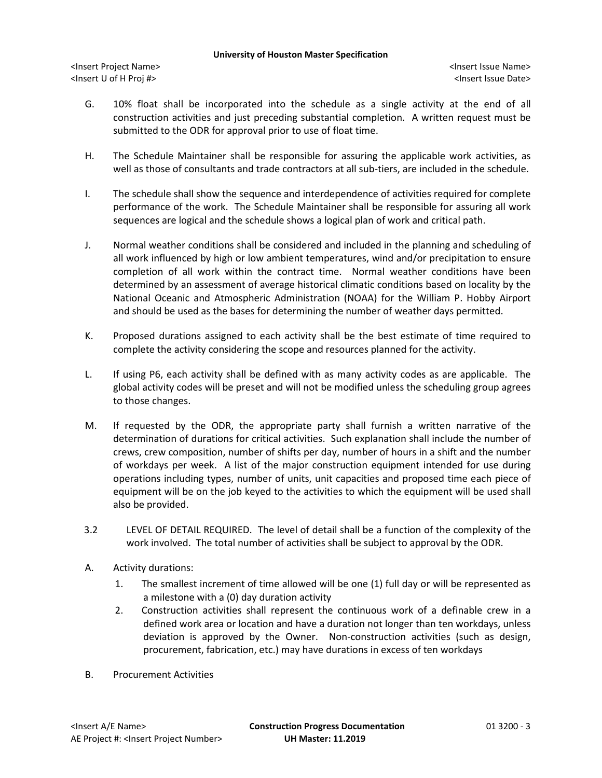<Insert Project Name> <Insert Issue Name> <Insert U of H Proj #> <Insert Issue Date>

- G. 10% float shall be incorporated into the schedule as a single activity at the end of all construction activities and just preceding substantial completion. A written request must be submitted to the ODR for approval prior to use of float time.
- H. The Schedule Maintainer shall be responsible for assuring the applicable work activities, as well as those of consultants and trade contractors at all sub-tiers, are included in the schedule.
- I. The schedule shall show the sequence and interdependence of activities required for complete performance of the work. The Schedule Maintainer shall be responsible for assuring all work sequences are logical and the schedule shows a logical plan of work and critical path.
- J. Normal weather conditions shall be considered and included in the planning and scheduling of all work influenced by high or low ambient temperatures, wind and/or precipitation to ensure completion of all work within the contract time. Normal weather conditions have been determined by an assessment of average historical climatic conditions based on locality by the National Oceanic and Atmospheric Administration (NOAA) for the William P. Hobby Airport and should be used as the bases for determining the number of weather days permitted.
- K. Proposed durations assigned to each activity shall be the best estimate of time required to complete the activity considering the scope and resources planned for the activity.
- L. If using P6, each activity shall be defined with as many activity codes as are applicable. The global activity codes will be preset and will not be modified unless the scheduling group agrees to those changes.
- M. If requested by the ODR, the appropriate party shall furnish a written narrative of the determination of durations for critical activities. Such explanation shall include the number of crews, crew composition, number of shifts per day, number of hours in a shift and the number of workdays per week. A list of the major construction equipment intended for use during operations including types, number of units, unit capacities and proposed time each piece of equipment will be on the job keyed to the activities to which the equipment will be used shall also be provided.
- 3.2 LEVEL OF DETAIL REQUIRED. The level of detail shall be a function of the complexity of the work involved. The total number of activities shall be subject to approval by the ODR.
- A. Activity durations:
	- 1. The smallest increment of time allowed will be one (1) full day or will be represented as a milestone with a (0) day duration activity
	- 2. Construction activities shall represent the continuous work of a definable crew in a defined work area or location and have a duration not longer than ten workdays, unless deviation is approved by the Owner. Non-construction activities (such as design, procurement, fabrication, etc.) may have durations in excess of ten workdays
- B. Procurement Activities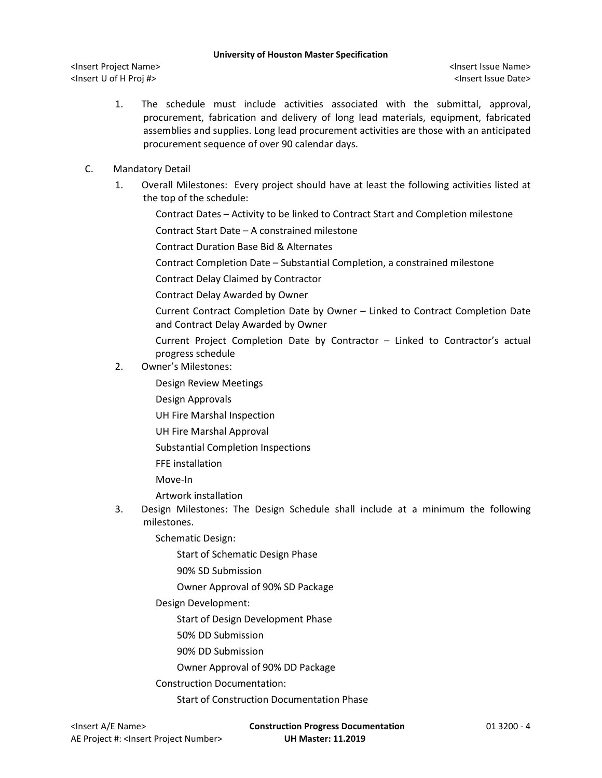<Insert Project Name> <Insert Issue Name> <Insert U of H Proj #> <Insert Issue Date>

- 1. The schedule must include activities associated with the submittal, approval, procurement, fabrication and delivery of long lead materials, equipment, fabricated assemblies and supplies. Long lead procurement activities are those with an anticipated procurement sequence of over 90 calendar days.
- C. Mandatory Detail
	- 1. Overall Milestones: Every project should have at least the following activities listed at the top of the schedule:
		- Contract Dates Activity to be linked to Contract Start and Completion milestone

Contract Start Date – A constrained milestone

Contract Duration Base Bid & Alternates

Contract Completion Date – Substantial Completion, a constrained milestone

Contract Delay Claimed by Contractor

- Contract Delay Awarded by Owner
- Current Contract Completion Date by Owner Linked to Contract Completion Date and Contract Delay Awarded by Owner
- Current Project Completion Date by Contractor Linked to Contractor's actual progress schedule
- 2. Owner's Milestones:
	- Design Review Meetings
	- Design Approvals
	- UH Fire Marshal Inspection
	- UH Fire Marshal Approval
	- Substantial Completion Inspections
	- FFE installation
	- Move-In
	- Artwork installation
- 3. Design Milestones: The Design Schedule shall include at a minimum the following milestones.
	- Schematic Design:
		- Start of Schematic Design Phase
		- 90% SD Submission
		- Owner Approval of 90% SD Package
	- Design Development:
		- Start of Design Development Phase
		- 50% DD Submission
		- 90% DD Submission
		- Owner Approval of 90% DD Package
	- Construction Documentation:
		- Start of Construction Documentation Phase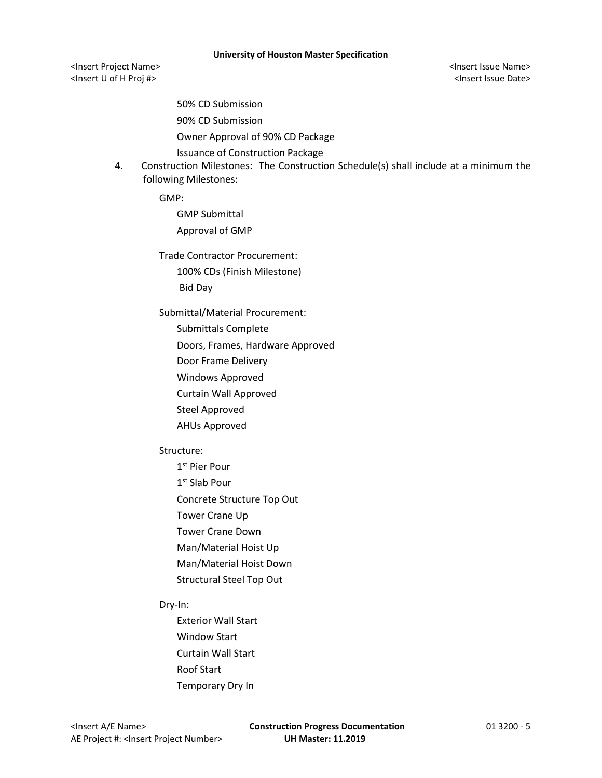<Insert Project Name> <Insert Issue Name> <Insert U of H Proj #> <Insert Issue Date>

50% CD Submission

90% CD Submission

Owner Approval of 90% CD Package

Issuance of Construction Package

4. Construction Milestones: The Construction Schedule(s) shall include at a minimum the following Milestones:

GMP:

GMP Submittal

Approval of GMP

Trade Contractor Procurement:

100% CDs (Finish Milestone) Bid Day

Submittal/Material Procurement:

Submittals Complete

Doors, Frames, Hardware Approved

Door Frame Delivery

Windows Approved

Curtain Wall Approved

Steel Approved

AHUs Approved

## Structure:

1st Pier Pour

1<sup>st</sup> Slab Pour

Concrete Structure Top Out

Tower Crane Up

Tower Crane Down

Man/Material Hoist Up

Man/Material Hoist Down

Structural Steel Top Out

### Dry-In:

Exterior Wall Start

Window Start

Curtain Wall Start

Roof Start

Temporary Dry In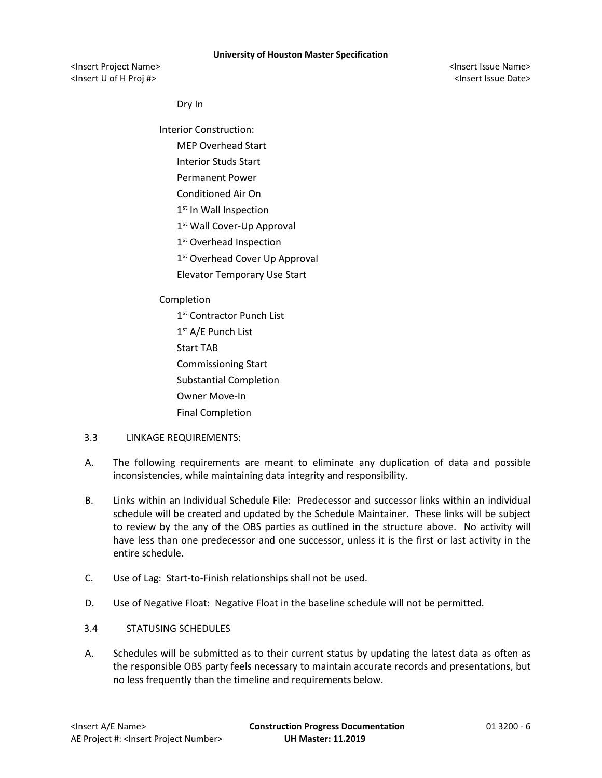<Insert Project Name> <Insert Issue Name> <Insert U of H Proj #> <Insert Issue Date>

Dry In

Interior Construction:

- MEP Overhead Start
- Interior Studs Start
- Permanent Power
- Conditioned Air On
- 1<sup>st</sup> In Wall Inspection
- 1st Wall Cover-Up Approval
- 1st Overhead Inspection
- 1<sup>st</sup> Overhead Cover Up Approval
- Elevator Temporary Use Start
- Completion
	- 1st Contractor Punch List 1<sup>st</sup> A/E Punch List Start TAB Commissioning Start Substantial Completion Owner Move-In Final Completion
- 3.3 LINKAGE REQUIREMENTS:
- A. The following requirements are meant to eliminate any duplication of data and possible inconsistencies, while maintaining data integrity and responsibility.
- B. Links within an Individual Schedule File: Predecessor and successor links within an individual schedule will be created and updated by the Schedule Maintainer. These links will be subject to review by the any of the OBS parties as outlined in the structure above. No activity will have less than one predecessor and one successor, unless it is the first or last activity in the entire schedule.
- C. Use of Lag: Start-to-Finish relationships shall not be used.
- D. Use of Negative Float: Negative Float in the baseline schedule will not be permitted.
- 3.4 STATUSING SCHEDULES
- A. Schedules will be submitted as to their current status by updating the latest data as often as the responsible OBS party feels necessary to maintain accurate records and presentations, but no less frequently than the timeline and requirements below.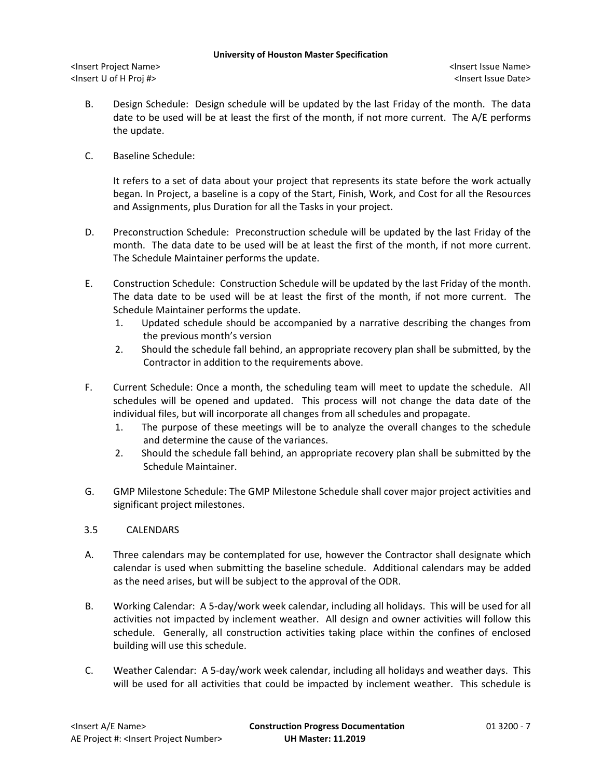<Insert Project Name> <Insert Issue Name> <Insert U of H Proj #> <Insert Issue Date>

- B. Design Schedule: Design schedule will be updated by the last Friday of the month. The data date to be used will be at least the first of the month, if not more current. The A/E performs the update.
- C. Baseline Schedule:

It refers to a set of data about your project that represents its state before the work actually began. In Project, a baseline is a copy of the Start, Finish, Work, and Cost for all the Resources and Assignments, plus Duration for all the Tasks in your project.

- D. Preconstruction Schedule: Preconstruction schedule will be updated by the last Friday of the month. The data date to be used will be at least the first of the month, if not more current. The Schedule Maintainer performs the update.
- E. Construction Schedule: Construction Schedule will be updated by the last Friday of the month. The data date to be used will be at least the first of the month, if not more current. The Schedule Maintainer performs the update.
	- 1. Updated schedule should be accompanied by a narrative describing the changes from the previous month's version
	- 2. Should the schedule fall behind, an appropriate recovery plan shall be submitted, by the Contractor in addition to the requirements above.
- F. Current Schedule: Once a month, the scheduling team will meet to update the schedule. All schedules will be opened and updated. This process will not change the data date of the individual files, but will incorporate all changes from all schedules and propagate.
	- 1. The purpose of these meetings will be to analyze the overall changes to the schedule and determine the cause of the variances.
	- 2. Should the schedule fall behind, an appropriate recovery plan shall be submitted by the Schedule Maintainer.
- G. GMP Milestone Schedule: The GMP Milestone Schedule shall cover major project activities and significant project milestones.

## 3.5 CALENDARS

- A. Three calendars may be contemplated for use, however the Contractor shall designate which calendar is used when submitting the baseline schedule. Additional calendars may be added as the need arises, but will be subject to the approval of the ODR.
- B. Working Calendar: A 5-day/work week calendar, including all holidays. This will be used for all activities not impacted by inclement weather. All design and owner activities will follow this schedule. Generally, all construction activities taking place within the confines of enclosed building will use this schedule.
- C. Weather Calendar: A 5-day/work week calendar, including all holidays and weather days. This will be used for all activities that could be impacted by inclement weather. This schedule is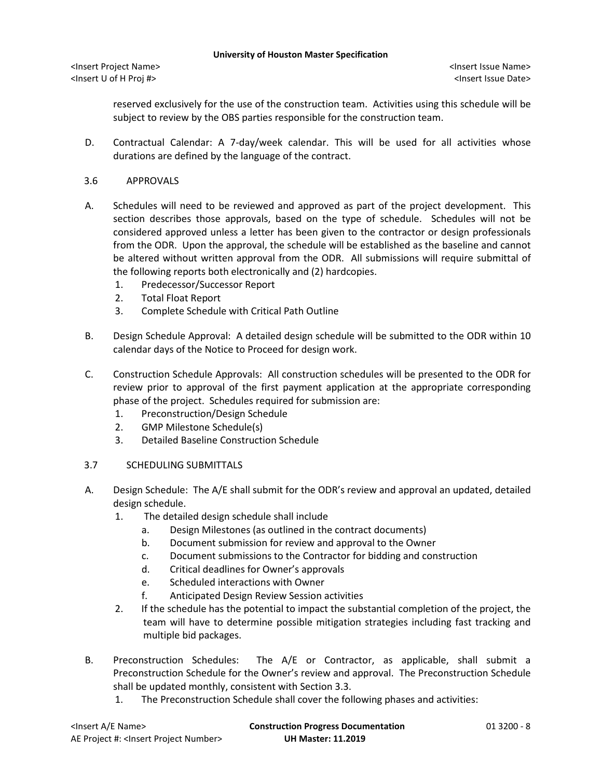<Insert Project Name> <Insert Issue Name> <Insert U of H Proj #> <Insert Issue Date>

reserved exclusively for the use of the construction team. Activities using this schedule will be subject to review by the OBS parties responsible for the construction team.

D. Contractual Calendar: A 7-day/week calendar. This will be used for all activities whose durations are defined by the language of the contract.

## 3.6 APPROVALS

- A. Schedules will need to be reviewed and approved as part of the project development. This section describes those approvals, based on the type of schedule. Schedules will not be considered approved unless a letter has been given to the contractor or design professionals from the ODR. Upon the approval, the schedule will be established as the baseline and cannot be altered without written approval from the ODR. All submissions will require submittal of the following reports both electronically and (2) hardcopies.
	- 1. Predecessor/Successor Report
	- 2. Total Float Report
	- 3. Complete Schedule with Critical Path Outline
- B. Design Schedule Approval: A detailed design schedule will be submitted to the ODR within 10 calendar days of the Notice to Proceed for design work.
- C. Construction Schedule Approvals: All construction schedules will be presented to the ODR for review prior to approval of the first payment application at the appropriate corresponding phase of the project. Schedules required for submission are:
	- 1. Preconstruction/Design Schedule
	- 2. GMP Milestone Schedule(s)
	- 3. Detailed Baseline Construction Schedule

## 3.7 SCHEDULING SUBMITTALS

- A. Design Schedule: The A/E shall submit for the ODR's review and approval an updated, detailed design schedule.
	- 1. The detailed design schedule shall include
		- a. Design Milestones (as outlined in the contract documents)
		- b. Document submission for review and approval to the Owner
		- c. Document submissions to the Contractor for bidding and construction
		- d. Critical deadlines for Owner's approvals
		- e. Scheduled interactions with Owner
		- f. Anticipated Design Review Session activities
	- 2. If the schedule has the potential to impact the substantial completion of the project, the team will have to determine possible mitigation strategies including fast tracking and multiple bid packages.
- B. Preconstruction Schedules: The A/E or Contractor, as applicable, shall submit a Preconstruction Schedule for the Owner's review and approval. The Preconstruction Schedule shall be updated monthly, consistent with Section 3.3.
	- 1. The Preconstruction Schedule shall cover the following phases and activities: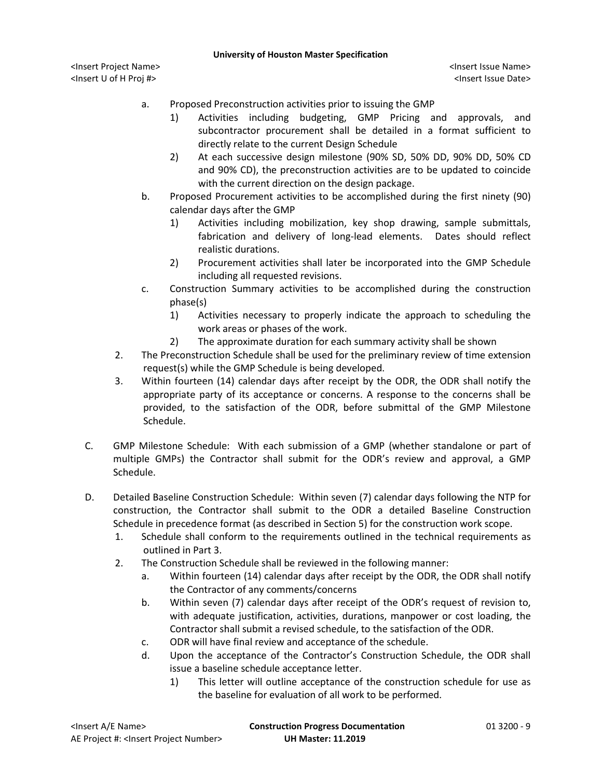<Insert Project Name> <Insert Issue Name> <Insert U of H Proj #> <Insert Issue Date>

- a. Proposed Preconstruction activities prior to issuing the GMP
	- 1) Activities including budgeting, GMP Pricing and approvals, and subcontractor procurement shall be detailed in a format sufficient to directly relate to the current Design Schedule
	- 2) At each successive design milestone (90% SD, 50% DD, 90% DD, 50% CD and 90% CD), the preconstruction activities are to be updated to coincide with the current direction on the design package.
- b. Proposed Procurement activities to be accomplished during the first ninety (90) calendar days after the GMP
	- 1) Activities including mobilization, key shop drawing, sample submittals, fabrication and delivery of long-lead elements. Dates should reflect realistic durations.
	- 2) Procurement activities shall later be incorporated into the GMP Schedule including all requested revisions.
- c. Construction Summary activities to be accomplished during the construction phase(s)
	- 1) Activities necessary to properly indicate the approach to scheduling the work areas or phases of the work.
	- 2) The approximate duration for each summary activity shall be shown
- 2. The Preconstruction Schedule shall be used for the preliminary review of time extension request(s) while the GMP Schedule is being developed.
- 3. Within fourteen (14) calendar days after receipt by the ODR, the ODR shall notify the appropriate party of its acceptance or concerns. A response to the concerns shall be provided, to the satisfaction of the ODR, before submittal of the GMP Milestone Schedule.
- C. GMP Milestone Schedule: With each submission of a GMP (whether standalone or part of multiple GMPs) the Contractor shall submit for the ODR's review and approval, a GMP Schedule.
- D. Detailed Baseline Construction Schedule: Within seven (7) calendar days following the NTP for construction, the Contractor shall submit to the ODR a detailed Baseline Construction Schedule in precedence format (as described in Section 5) for the construction work scope.
	- 1. Schedule shall conform to the requirements outlined in the technical requirements as outlined in Part 3.
	- 2. The Construction Schedule shall be reviewed in the following manner:
		- a. Within fourteen (14) calendar days after receipt by the ODR, the ODR shall notify the Contractor of any comments/concerns
		- b. Within seven (7) calendar days after receipt of the ODR's request of revision to, with adequate justification, activities, durations, manpower or cost loading, the Contractor shall submit a revised schedule, to the satisfaction of the ODR.
		- c. ODR will have final review and acceptance of the schedule.
		- d. Upon the acceptance of the Contractor's Construction Schedule, the ODR shall issue a baseline schedule acceptance letter.
			- 1) This letter will outline acceptance of the construction schedule for use as the baseline for evaluation of all work to be performed.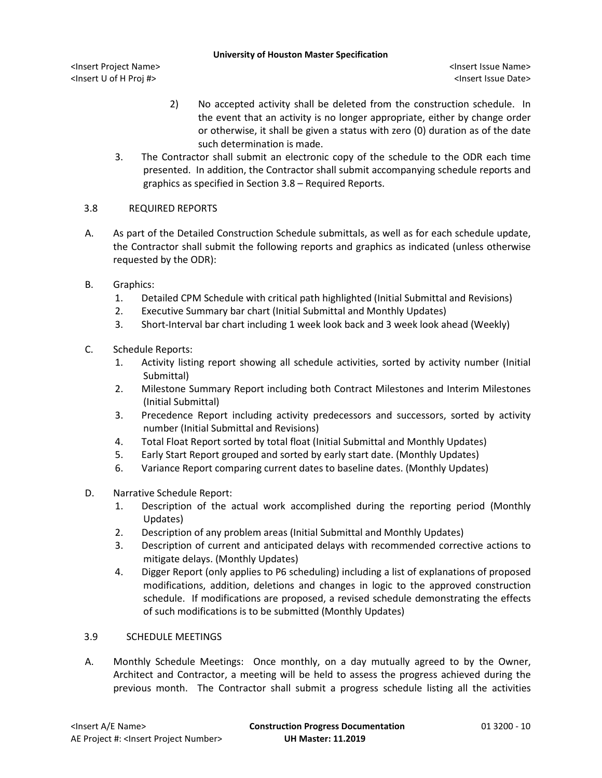<Insert Project Name> <Insert Issue Name> <Insert U of H Proj #> <Insert Issue Date>

- 2) No accepted activity shall be deleted from the construction schedule. In the event that an activity is no longer appropriate, either by change order or otherwise, it shall be given a status with zero (0) duration as of the date such determination is made.
- 3. The Contractor shall submit an electronic copy of the schedule to the ODR each time presented. In addition, the Contractor shall submit accompanying schedule reports and graphics as specified in Section 3.8 – Required Reports.

# 3.8 REQUIRED REPORTS

- A. As part of the Detailed Construction Schedule submittals, as well as for each schedule update, the Contractor shall submit the following reports and graphics as indicated (unless otherwise requested by the ODR):
- B. Graphics:
	- 1. Detailed CPM Schedule with critical path highlighted (Initial Submittal and Revisions)
	- 2. Executive Summary bar chart (Initial Submittal and Monthly Updates)
	- 3. Short-Interval bar chart including 1 week look back and 3 week look ahead (Weekly)
- C. Schedule Reports:
	- 1. Activity listing report showing all schedule activities, sorted by activity number (Initial Submittal)
	- 2. Milestone Summary Report including both Contract Milestones and Interim Milestones (Initial Submittal)
	- 3. Precedence Report including activity predecessors and successors, sorted by activity number (Initial Submittal and Revisions)
	- 4. Total Float Report sorted by total float (Initial Submittal and Monthly Updates)
	- 5. Early Start Report grouped and sorted by early start date. (Monthly Updates)
	- 6. Variance Report comparing current dates to baseline dates. (Monthly Updates)
- D. Narrative Schedule Report:
	- 1. Description of the actual work accomplished during the reporting period (Monthly Updates)
	- 2. Description of any problem areas (Initial Submittal and Monthly Updates)
	- 3. Description of current and anticipated delays with recommended corrective actions to mitigate delays. (Monthly Updates)
	- 4. Digger Report (only applies to P6 scheduling) including a list of explanations of proposed modifications, addition, deletions and changes in logic to the approved construction schedule. If modifications are proposed, a revised schedule demonstrating the effects of such modifications is to be submitted (Monthly Updates)

## 3.9 SCHEDULE MEETINGS

A. Monthly Schedule Meetings: Once monthly, on a day mutually agreed to by the Owner, Architect and Contractor, a meeting will be held to assess the progress achieved during the previous month. The Contractor shall submit a progress schedule listing all the activities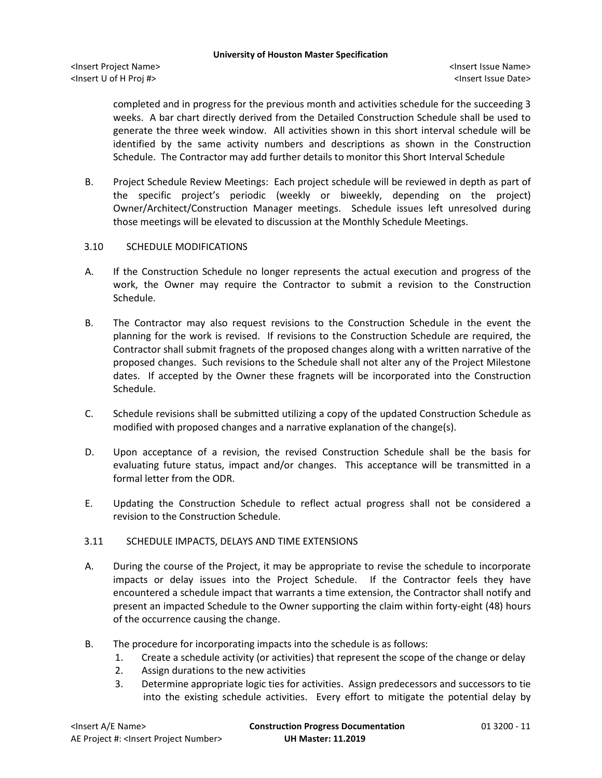<Insert Project Name> <Insert Issue Name> <Insert U of H Proj #> <Insert Issue Date>

completed and in progress for the previous month and activities schedule for the succeeding 3 weeks. A bar chart directly derived from the Detailed Construction Schedule shall be used to generate the three week window. All activities shown in this short interval schedule will be identified by the same activity numbers and descriptions as shown in the Construction Schedule. The Contractor may add further details to monitor this Short Interval Schedule

- B. Project Schedule Review Meetings: Each project schedule will be reviewed in depth as part of the specific project's periodic (weekly or biweekly, depending on the project) Owner/Architect/Construction Manager meetings. Schedule issues left unresolved during those meetings will be elevated to discussion at the Monthly Schedule Meetings.
- 3.10 SCHEDULE MODIFICATIONS
- A. If the Construction Schedule no longer represents the actual execution and progress of the work, the Owner may require the Contractor to submit a revision to the Construction Schedule.
- B. The Contractor may also request revisions to the Construction Schedule in the event the planning for the work is revised. If revisions to the Construction Schedule are required, the Contractor shall submit fragnets of the proposed changes along with a written narrative of the proposed changes. Such revisions to the Schedule shall not alter any of the Project Milestone dates. If accepted by the Owner these fragnets will be incorporated into the Construction Schedule.
- C. Schedule revisions shall be submitted utilizing a copy of the updated Construction Schedule as modified with proposed changes and a narrative explanation of the change(s).
- D. Upon acceptance of a revision, the revised Construction Schedule shall be the basis for evaluating future status, impact and/or changes. This acceptance will be transmitted in a formal letter from the ODR.
- E. Updating the Construction Schedule to reflect actual progress shall not be considered a revision to the Construction Schedule.
- 3.11 SCHEDULE IMPACTS, DELAYS AND TIME EXTENSIONS
- A. During the course of the Project, it may be appropriate to revise the schedule to incorporate impacts or delay issues into the Project Schedule. If the Contractor feels they have encountered a schedule impact that warrants a time extension, the Contractor shall notify and present an impacted Schedule to the Owner supporting the claim within forty-eight (48) hours of the occurrence causing the change.
- B. The procedure for incorporating impacts into the schedule is as follows:
	- 1. Create a schedule activity (or activities) that represent the scope of the change or delay
	- 2. Assign durations to the new activities
	- 3. Determine appropriate logic ties for activities. Assign predecessors and successors to tie into the existing schedule activities. Every effort to mitigate the potential delay by